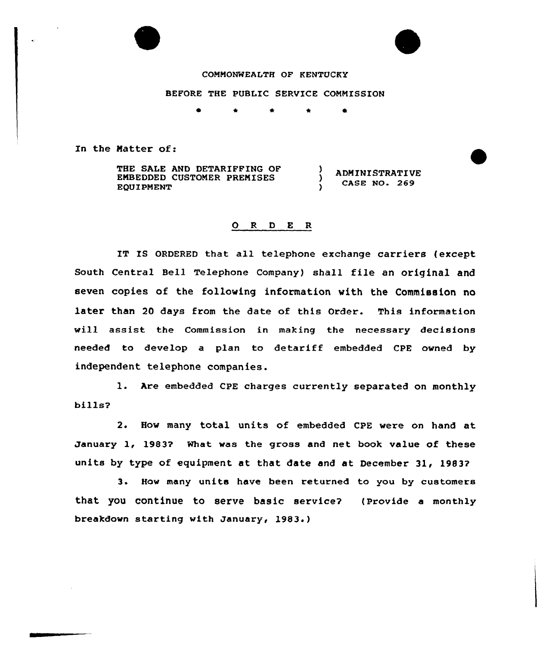



## COMMONWEALTH OF KENTUCKY

BEFORE THE PUBLIC SERVICE CONNISSION

 $\star$  0

 $\lambda$ 

In the Matter of:

THE SALE AND DETARIFFING OF EMBEDDED CUSTOMER PREMISES EQUIPMENT

ADMINISTRATIVE CASE NO. 269

## ORDER

IT IS ORDERED that all telephone exchange carriers (except South Central Bell Telephone Company) shall file an original and seven copies of the following information with the Commission no later than 20 days from the date of this Order. This information will assist the Commission in making the necessary decisions needed to develop a plan to detariff embedded CPE owned by independent telephone companies.

l. Are embedded CPE charges currently separated on monthly bills?

2. How many total units of embedded CPE vere on hand at January 1, 1983? What was the gross and net book value of these units by type of equipment at that date and at December 31, 19837

3. How many units have been returned to you by customers that you continue to serve basic service? (provide a monthly breakdown starting with January, 1983.)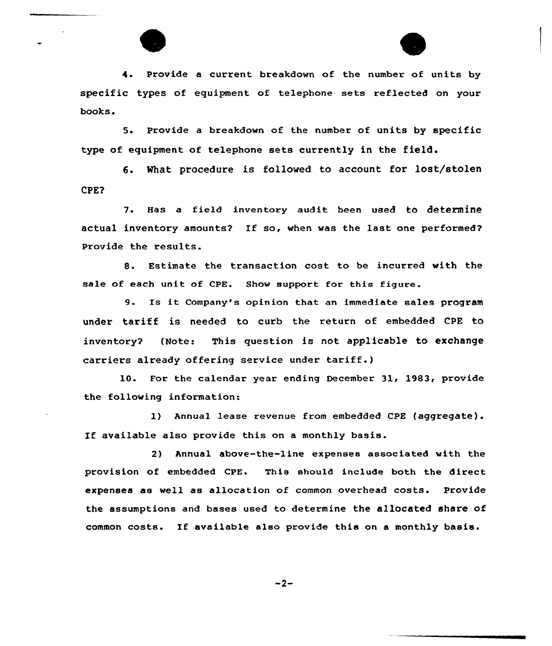

4. Provide a current breakdown of the number of units by specific types of equipment of telephone sets reflected on your books.

5. Provide a breakdown of the number of units by specific type of equipment of telephone sets currently in the field.

6. What procedure is followed to account for lost/stolen CPE?

7. Has a field inventory audit been used to determine actual inventory amounts? If so, when was the last one performed? Provide the results.

8. Estimate the transaction cost to be incurred with the sale of each unit of CPE. Show support for this figure.

9. Is it Company's opinion that an immediate sales program under tariff is needed to curb the return of embedded CPE to inventory? (Note: This question is not applicable to exchange carriers already offering service under tariff.)

10. For the calendar year ending December 31, 1983, provide the following information:

1) Annual lease revenue from embedded CPE (aggregate). If available also provide this on <sup>a</sup> monthly basis.

2} Annual above-the-line expenses associated with the provision of embedded CPE. This should include both the direct expenses as well as allocation of common overhead costs. Provide the assumptions and bases used to determine the allocated share of common costs. If available also provide this on <sup>a</sup> monthly basis.

$$
-2-
$$